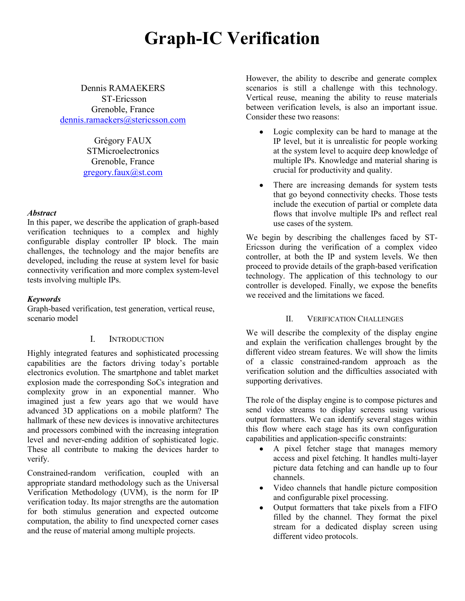# **Graph-IC Verification**

Dennis RAMAEKERS ST-Ericsson Grenoble, France [dennis.ramaekers@stericsson.com](mailto:dennis.ramaekers@stericsson.com)

> Grégory FAUX **STMicroelectronics** Grenoble, France [gregory.faux@st.com](mailto:gregory.faux@st.com)

#### *Abstract*

In this paper, we describe the application of graph-based verification techniques to a complex and highly configurable display controller IP block. The main challenges, the technology and the major benefits are developed, including the reuse at system level for basic connectivity verification and more complex system-level tests involving multiple IPs.

#### *Keywords*

Graph-based verification, test generation, vertical reuse, scenario model

## I. INTRODUCTION

Highly integrated features and sophisticated processing capabilities are the factors driving today's portable electronics evolution. The smartphone and tablet market explosion made the corresponding SoCs integration and complexity grow in an exponential manner. Who imagined just a few years ago that we would have advanced 3D applications on a mobile platform? The hallmark of these new devices is innovative architectures and processors combined with the increasing integration level and never-ending addition of sophisticated logic. These all contribute to making the devices harder to verify.

Constrained-random verification, coupled with an appropriate standard methodology such as the Universal Verification Methodology (UVM), is the norm for IP verification today. Its major strengths are the automation for both stimulus generation and expected outcome computation, the ability to find unexpected corner cases and the reuse of material among multiple projects.

However, the ability to describe and generate complex scenarios is still a challenge with this technology. Vertical reuse, meaning the ability to reuse materials between verification levels, is also an important issue. Consider these two reasons:

- Logic complexity can be hard to manage at the IP level, but it is unrealistic for people working at the system level to acquire deep knowledge of multiple IPs. Knowledge and material sharing is crucial for productivity and quality.
- There are increasing demands for system tests that go beyond connectivity checks. Those tests include the execution of partial or complete data flows that involve multiple IPs and reflect real use cases of the system.

We begin by describing the challenges faced by ST-Ericsson during the verification of a complex video controller, at both the IP and system levels. We then proceed to provide details of the graph-based verification technology. The application of this technology to our controller is developed. Finally, we expose the benefits we received and the limitations we faced.

#### II. VERIFICATION CHALLENGES

We will describe the complexity of the display engine and explain the verification challenges brought by the different video stream features. We will show the limits of a classic constrained-random approach as the verification solution and the difficulties associated with supporting derivatives.

The role of the display engine is to compose pictures and send video streams to display screens using various output formatters. We can identify several stages within this flow where each stage has its own configuration capabilities and application-specific constraints:

- A pixel fetcher stage that manages memory access and pixel fetching. It handles multi-layer picture data fetching and can handle up to four channels.
- Video channels that handle picture composition  $\bullet$ and configurable pixel processing.
- Output formatters that take pixels from a FIFO filled by the channel. They format the pixel stream for a dedicated display screen using different video protocols.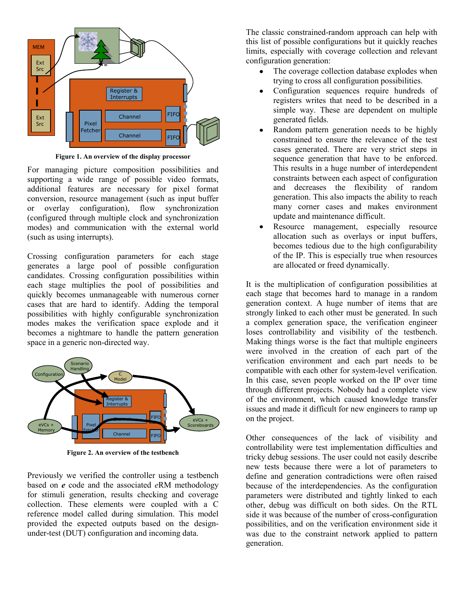

**Figure 1. An overview of the display processor**

For managing picture composition possibilities and supporting a wide range of possible video formats, additional features are necessary for pixel format conversion, resource management (such as input buffer or overlay configuration), flow synchronization (configured through multiple clock and synchronization modes) and communication with the external world (such as using interrupts).

Crossing configuration parameters for each stage generates a large pool of possible configuration candidates. Crossing configuration possibilities within each stage multiplies the pool of possibilities and quickly becomes unmanageable with numerous corner cases that are hard to identify. Adding the temporal possibilities with highly configurable synchronization modes makes the verification space explode and it becomes a nightmare to handle the pattern generation space in a generic non-directed way.



**Figure 2. An overview of the testbench**

Previously we verified the controller using a testbench based on *e* code and the associated *e*RM methodology for stimuli generation, results checking and coverage collection. These elements were coupled with a C reference model called during simulation. This model provided the expected outputs based on the designunder-test (DUT) configuration and incoming data.

The classic constrained-random approach can help with this list of possible configurations but it quickly reaches limits, especially with coverage collection and relevant configuration generation:

- The coverage collection database explodes when trying to cross all configuration possibilities.
- Configuration sequences require hundreds of registers writes that need to be described in a simple way. These are dependent on multiple generated fields.
- Random pattern generation needs to be highly constrained to ensure the relevance of the test cases generated. There are very strict steps in sequence generation that have to be enforced. This results in a huge number of interdependent constraints between each aspect of configuration and decreases the flexibility of random generation. This also impacts the ability to reach many corner cases and makes environment update and maintenance difficult.
- Resource management, especially resource allocation such as overlays or input buffers, becomes tedious due to the high configurability of the IP. This is especially true when resources are allocated or freed dynamically.

It is the multiplication of configuration possibilities at each stage that becomes hard to manage in a random generation context. A huge number of items that are strongly linked to each other must be generated. In such a complex generation space, the verification engineer loses controllability and visibility of the testbench. Making things worse is the fact that multiple engineers were involved in the creation of each part of the verification environment and each part needs to be compatible with each other for system-level verification. In this case, seven people worked on the IP over time through different projects. Nobody had a complete view of the environment, which caused knowledge transfer issues and made it difficult for new engineers to ramp up on the project.

Other consequences of the lack of visibility and controllability were test implementation difficulties and tricky debug sessions. The user could not easily describe new tests because there were a lot of parameters to define and generation contradictions were often raised because of the interdependencies. As the configuration parameters were distributed and tightly linked to each other, debug was difficult on both sides. On the RTL side it was because of the number of cross-configuration possibilities, and on the verification environment side it was due to the constraint network applied to pattern generation.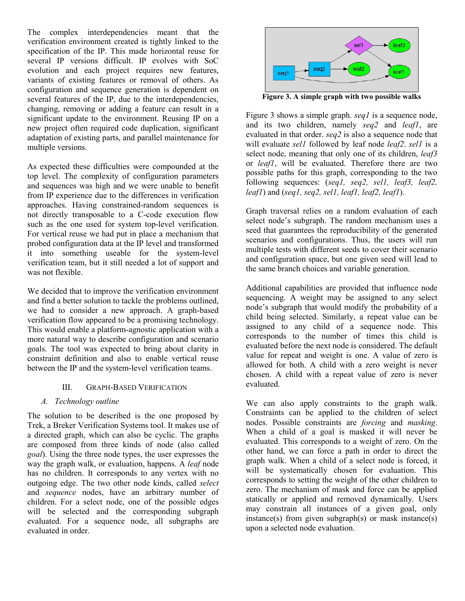The complex interdependencies meant that the verification environment created is tightly linked to the specification of the IP. This made horizontal reuse for several IP versions difficult. IP evolves with SoC evolution and each project requires new features, variants of existing features or removal of others. As configuration and sequence generation is dependent on several features of the IP, due to the interdependencies, changing, removing or adding a feature can result in a significant update to the environment. Reusing IP on a new project often required code duplication, significant adaptation of existing parts, and parallel maintenance for multiple versions.

As expected these difficulties were compounded at the top level. The complexity of configuration parameters and sequences was high and we were unable to benefit from IP experience due to the differences in verification approaches. Having constrained-random sequences is not directly transposable to a C-code execution flow such as the one used for system top-level verification. For vertical reuse we had put in place a mechanism that probed configuration data at the IP level and transformed it into something useable for the system-level verification team, but it still needed a lot of support and was not flexible.

We decided that to improve the verification environment and find a better solution to tackle the problems outlined, we had to consider a new approach. A graph-based verification flow appeared to be a promising technology. This would enable a platform-agnostic application with a more natural way to describe configuration and scenario goals. The tool was expected to bring about clarity in constraint definition and also to enable vertical reuse between the IP and the system-level verification teams.

## III. GRAPH-BASED VERIFICATION

## *A. Technology outline*

The solution to be described is the one proposed by Trek, a Breker Verification Systems tool. It makes use of a directed graph, which can also be cyclic. The graphs are composed from three kinds of node (also called *goal*). Using the three node types, the user expresses the way the graph walk, or evaluation, happens. A *leaf* node has no children. It corresponds to any vertex with no outgoing edge. The two other node kinds, called *select* and *sequence* nodes, have an arbitrary number of children. For a select node, one of the possible edges will be selected and the corresponding subgraph evaluated. For a sequence node, all subgraphs are evaluated in order.



**Figure 3. A simple graph with two possible walks**

Figure 3 shows a simple graph. *seq1* is a sequence node, and its two children, namely *seq2* and *leaf1*, are evaluated in that order. *seq2* is also a sequence node that will evaluate *sel1* followed by leaf node *leaf2*. *sel1* is a select node, meaning that only one of its children, *leaf3* or *leaf1*, will be evaluated. Therefore there are two possible paths for this graph, corresponding to the two following sequences: (*seq1, seq2, sel1, leaf3, leaf2, leaf1*) and (*seq1, seq2, sel1, leaf1, leaf2, leaf1*).

Graph traversal relies on a random evaluation of each select node's subgraph. The random mechanism uses a seed that guarantees the reproducibility of the generated scenarios and configurations. Thus, the users will run multiple tests with different seeds to cover their scenario and configuration space, but one given seed will lead to the same branch choices and variable generation.

Additional capabilities are provided that influence node sequencing. A weight may be assigned to any select node's subgraph that would modify the probability of a child being selected. Similarly, a repeat value can be assigned to any child of a sequence node. This corresponds to the number of times this child is evaluated before the next node is considered. The default value for repeat and weight is one. A value of zero is allowed for both. A child with a zero weight is never chosen. A child with a repeat value of zero is never evaluated.

We can also apply constraints to the graph walk. Constraints can be applied to the children of select nodes. Possible constraints are *forcing* and *masking*. When a child of a goal is masked it will never be evaluated. This corresponds to a weight of zero. On the other hand, we can force a path in order to direct the graph walk. When a child of a select node is forced, it will be systematically chosen for evaluation. This corresponds to setting the weight of the other children to zero. The mechanism of mask and force can be applied statically or applied and removed dynamically. Users may constrain all instances of a given goal, only instance(s) from given subgraph(s) or mask instance(s) upon a selected node evaluation.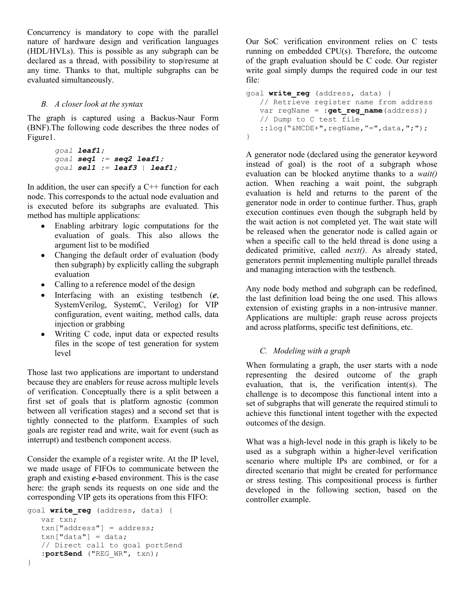Concurrency is mandatory to cope with the parallel nature of hardware design and verification languages (HDL/HVLs). This is possible as any subgraph can be declared as a thread, with possibility to stop/resume at any time. Thanks to that, multiple subgraphs can be evaluated simultaneously.

## *B. A closer look at the syntax*

The graph is captured using a Backus-Naur Form (BNF).The following code describes the three nodes of Figure1.

```
goal leaf1;
goal seq1 := seq2 leaf1;
goal sel1 := leaf3 | leaf1;
```
In addition, the user can specify a  $C++$  function for each node. This corresponds to the actual node evaluation and is executed before its subgraphs are evaluated. This method has multiple applications:

- Enabling arbitrary logic computations for the evaluation of goals. This also allows the argument list to be modified
- Changing the default order of evaluation (body  $\bullet$ then subgraph) by explicitly calling the subgraph evaluation
- Calling to a reference model of the design
- Interfacing with an existing testbench (*e*, SystemVerilog, SystemC, Verilog) for VIP configuration, event waiting, method calls, data injection or grabbing
- Writing C code, input data or expected results files in the scope of test generation for system level

Those last two applications are important to understand because they are enablers for reuse across multiple levels of verification. Conceptually there is a split between a first set of goals that is platform agnostic (common between all verification stages) and a second set that is tightly connected to the platform. Examples of such goals are register read and write, wait for event (such as interrupt) and testbench component access.

Consider the example of a register write. At the IP level, we made usage of FIFOs to communicate between the graph and existing *e*-based environment. This is the case here: the graph sends its requests on one side and the corresponding VIP gets its operations from this FIFO:

```
goal write_reg (address, data) {
    var txn;
    txn["address"] = address;
   \text{txn}["data"] = data;
    // Direct call to goal portSend
    :portSend ("REG_WR", txn);
}
```
Our SoC verification environment relies on C tests running on embedded CPU(s). Therefore, the outcome of the graph evaluation should be C code. Our register write goal simply dumps the required code in our test file:

```
goal write_reg (address, data) {
    // Retrieve register name from address
   var regName = : get reg name(address);
    // Dump to C test file
   ::log("&MCDE+", regName, "=", data, ";");
}
```
A generator node (declared using the generator keyword instead of goal) is the root of a subgraph whose evaluation can be blocked anytime thanks to a *wait()*  action. When reaching a wait point, the subgraph evaluation is held and returns to the parent of the generator node in order to continue further. Thus, graph execution continues even though the subgraph held by the wait action is not completed yet. The wait state will be released when the generator node is called again or when a specific call to the held thread is done using a dedicated primitive, called *next()*. As already stated, generators permit implementing multiple parallel threads and managing interaction with the testbench.

Any node body method and subgraph can be redefined, the last definition load being the one used. This allows extension of existing graphs in a non-intrusive manner. Applications are multiple: graph reuse across projects and across platforms, specific test definitions, etc.

# *C. Modeling with a graph*

When formulating a graph, the user starts with a node representing the desired outcome of the graph evaluation, that is, the verification intent(s). The challenge is to decompose this functional intent into a set of subgraphs that will generate the required stimuli to achieve this functional intent together with the expected outcomes of the design.

What was a high-level node in this graph is likely to be used as a subgraph within a higher-level verification scenario where multiple IPs are combined, or for a directed scenario that might be created for performance or stress testing. This compositional process is further developed in the following section, based on the controller example.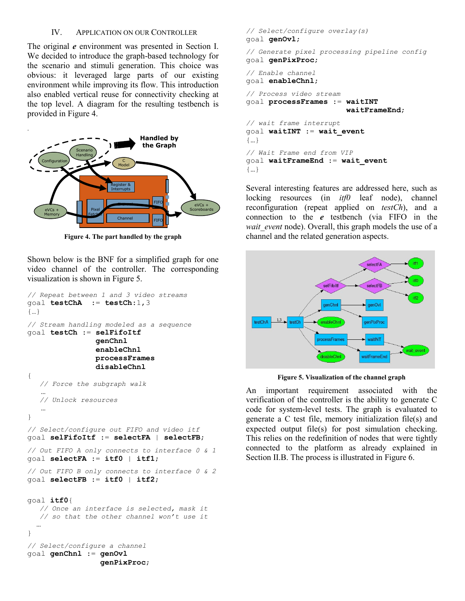#### IV. APPLICATION ON OUR CONTROLLER

The original *e* environment was presented in Section I. We decided to introduce the graph-based technology for the scenario and stimuli generation. This choice was obvious: it leveraged large parts of our existing environment while improving its flow. This introduction also enabled vertical reuse for connectivity checking at the top level. A diagram for the resulting testbench is provided in Figure 4.



**Figure 4. The part handled by the graph**

Shown below is the BNF for a simplified graph for one video channel of the controller. The corresponding visualization is shown in Figure 5.

```
// Repeat between 1 and 3 video streams
goal testChA := testCh:1,3
{…}
// Stream handling modeled as a sequence
goal testCh := selFifoItf
                 genChnl
                 enableChnl
                 processFrames
                 disableChnl
{
    // Force the subgraph walk
 …
    // Unlock resources 
 …
}
// Select/configure out FIFO and video itf
goal selFifoItf := selectFA | selectFB;
// Out FIFO A only connects to interface 0 & 1
goal selectFA := itf0 | itf1; 
// Out FIFO B only connects to interface 0 & 2
goal selectFB := itf0 | itf2;
goal itf0{
    // Once an interface is selected, mask it 
    // so that the other channel won't use it
 …
}
// Select/configure a channel
goal genChnl := genOvl
```
 **genPixProc**;

```
// Select/configure overlay(s)
goal genOvl;
```
*// Generate pixel processing pipeline config* goal **genPixProc**;

```
// Enable channel
goal enableChnl;
```
*// Process video stream* goal **processFrames** := **waitINT waitFrameEnd**; *// wait frame interrupt* goal **waitINT** := **wait\_event** {…} *// Wait Frame end from VIP* goal **waitFrameEnd** := **wait\_event** {…}

Several interesting features are addressed here, such as locking resources (in *itf0* leaf node), channel reconfiguration (repeat applied on *testCh*), and a connection to the *e* testbench (via FIFO in the *wait\_event* node). Overall, this graph models the use of a channel and the related generation aspects.



**Figure 5. Visualization of the channel graph**

An important requirement associated with the verification of the controller is the ability to generate C code for system-level tests. The graph is evaluated to generate a C test file, memory initialization file(s) and expected output file(s) for post simulation checking. This relies on the redefinition of nodes that were tightly connected to the platform as already explained in Section II.B. The process is illustrated in Figure 6.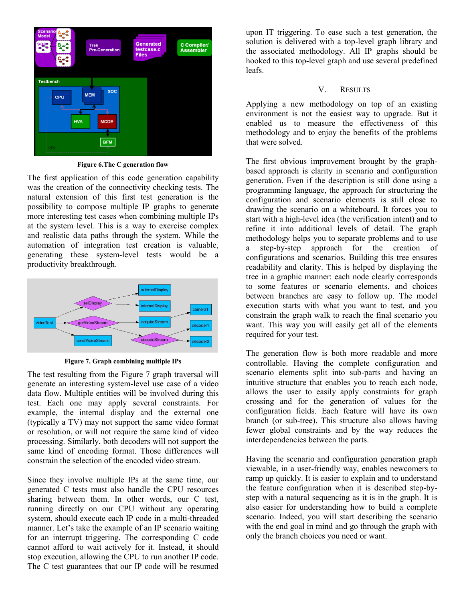

**Figure 6.The C generation flow**

The first application of this code generation capability was the creation of the connectivity checking tests. The natural extension of this first test generation is the possibility to compose multiple IP graphs to generate more interesting test cases when combining multiple IPs at the system level. This is a way to exercise complex and realistic data paths through the system. While the automation of integration test creation is valuable, generating these system-level tests would be a productivity breakthrough.



**Figure 7. Graph combining multiple IPs**

The test resulting from the Figure 7 graph traversal will generate an interesting system-level use case of a video data flow. Multiple entities will be involved during this test. Each one may apply several constraints. For example, the internal display and the external one (typically a TV) may not support the same video format or resolution, or will not require the same kind of video processing. Similarly, both decoders will not support the same kind of encoding format. Those differences will constrain the selection of the encoded video stream.

Since they involve multiple IPs at the same time, our generated C tests must also handle the CPU resources sharing between them. In other words, our C test, running directly on our CPU without any operating system, should execute each IP code in a multi-threaded manner. Let's take the example of an IP scenario waiting for an interrupt triggering. The corresponding C code cannot afford to wait actively for it. Instead, it should stop execution, allowing the CPU to run another IP code. The C test guarantees that our IP code will be resumed

upon IT triggering. To ease such a test generation, the solution is delivered with a top-level graph library and the associated methodology. All IP graphs should be hooked to this top-level graph and use several predefined leafs.

# V. RESULTS

Applying a new methodology on top of an existing environment is not the easiest way to upgrade. But it enabled us to measure the effectiveness of this methodology and to enjoy the benefits of the problems that were solved.

The first obvious improvement brought by the graphbased approach is clarity in scenario and configuration generation. Even if the description is still done using a programming language, the approach for structuring the configuration and scenario elements is still close to drawing the scenario on a whiteboard. It forces you to start with a high-level idea (the verification intent) and to refine it into additional levels of detail. The graph methodology helps you to separate problems and to use a step-by-step approach for the creation of configurations and scenarios. Building this tree ensures readability and clarity. This is helped by displaying the tree in a graphic manner: each node clearly corresponds to some features or scenario elements, and choices between branches are easy to follow up. The model execution starts with what you want to test, and you constrain the graph walk to reach the final scenario you want. This way you will easily get all of the elements required for your test.

The generation flow is both more readable and more controllable. Having the complete configuration and scenario elements split into sub-parts and having an intuitive structure that enables you to reach each node, allows the user to easily apply constraints for graph crossing and for the generation of values for the configuration fields. Each feature will have its own branch (or sub-tree). This structure also allows having fewer global constraints and by the way reduces the interdependencies between the parts.

Having the scenario and configuration generation graph viewable, in a user-friendly way, enables newcomers to ramp up quickly. It is easier to explain and to understand the feature configuration when it is described step-bystep with a natural sequencing as it is in the graph. It is also easier for understanding how to build a complete scenario. Indeed, you will start describing the scenario with the end goal in mind and go through the graph with only the branch choices you need or want.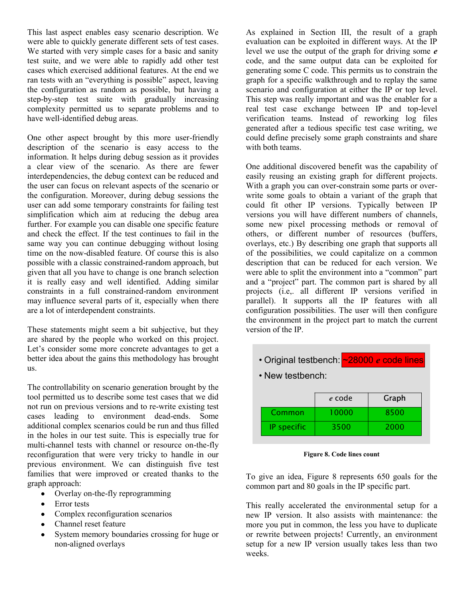This last aspect enables easy scenario description. We were able to quickly generate different sets of test cases. We started with very simple cases for a basic and sanity test suite, and we were able to rapidly add other test cases which exercised additional features. At the end we ran tests with an "everything is possible" aspect, leaving the configuration as random as possible, but having a step-by-step test suite with gradually increasing complexity permitted us to separate problems and to have well-identified debug areas.

One other aspect brought by this more user-friendly description of the scenario is easy access to the information. It helps during debug session as it provides a clear view of the scenario. As there are fewer interdependencies, the debug context can be reduced and the user can focus on relevant aspects of the scenario or the configuration. Moreover, during debug sessions the user can add some temporary constraints for failing test simplification which aim at reducing the debug area further. For example you can disable one specific feature and check the effect. If the test continues to fail in the same way you can continue debugging without losing time on the now-disabled feature. Of course this is also possible with a classic constrained-random approach, but given that all you have to change is one branch selection it is really easy and well identified. Adding similar constraints in a full constrained-random environment may influence several parts of it, especially when there are a lot of interdependent constraints.

These statements might seem a bit subjective, but they are shared by the people who worked on this project. Let's consider some more concrete advantages to get a better idea about the gains this methodology has brought us.

The controllability on scenario generation brought by the tool permitted us to describe some test cases that we did not run on previous versions and to re-write existing test cases leading to environment dead-ends. Some additional complex scenarios could be run and thus filled in the holes in our test suite. This is especially true for multi-channel tests with channel or resource on-the-fly reconfiguration that were very tricky to handle in our previous environment. We can distinguish five test families that were improved or created thanks to the graph approach:

- Overlay on-the-fly reprogramming  $\bullet$
- Error tests
- Complex reconfiguration scenarios
- Channel reset feature
- System memory boundaries crossing for huge or non-aligned overlays

As explained in Section III, the result of a graph evaluation can be exploited in different ways. At the IP level we use the output of the graph for driving some *e* code, and the same output data can be exploited for generating some C code. This permits us to constrain the graph for a specific walkthrough and to replay the same scenario and configuration at either the IP or top level. This step was really important and was the enabler for a real test case exchange between IP and top-level verification teams. Instead of reworking log files generated after a tedious specific test case writing, we could define precisely some graph constraints and share with both teams.

One additional discovered benefit was the capability of easily reusing an existing graph for different projects. With a graph you can over-constrain some parts or overwrite some goals to obtain a variant of the graph that could fit other IP versions. Typically between IP versions you will have different numbers of channels, some new pixel processing methods or removal of others, or different number of resources (buffers, overlays, etc.) By describing one graph that supports all of the possibilities, we could capitalize on a common description that can be reduced for each version. We were able to split the environment into a "common" part and a "project" part. The common part is shared by all projects (i.e,. all different IP versions verified in parallel). It supports all the IP features with all configuration possibilities. The user will then configure the environment in the project part to match the current version of the IP.

- Original testbench: ~28000 *e* code lines
- New testbench:

|                    | e code | Graph |
|--------------------|--------|-------|
| Common             | 10000  | 8500  |
| <b>IP</b> specific | 3500   | 2000  |

**Figure 8. Code lines count**

To give an idea, Figure 8 represents 650 goals for the common part and 80 goals in the IP specific part.

This really accelerated the environmental setup for a new IP version. It also assists with maintenance: the more you put in common, the less you have to duplicate or rewrite between projects! Currently, an environment setup for a new IP version usually takes less than two weeks.